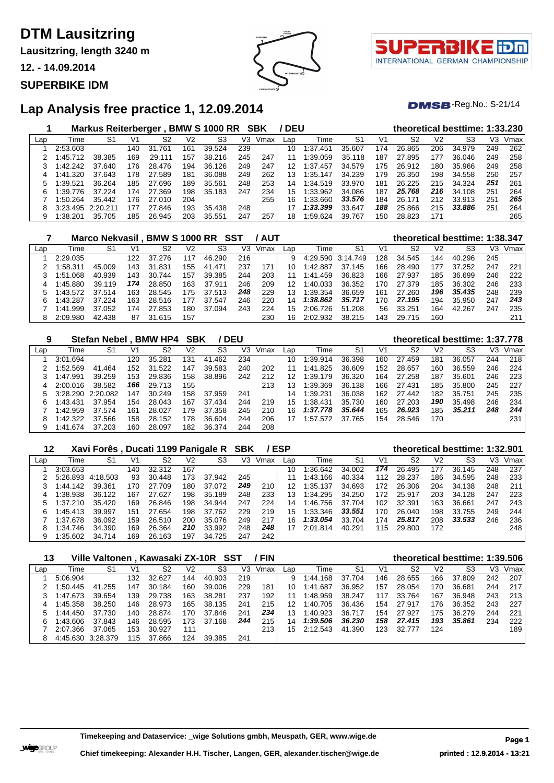**Lausitzring, length 3240 m**

**12. - 14.09.2014**

## **SUPERBIKE IDM**



τl INTERNATIONAL GERMAN CHAMPIONSHIP

 $DMSB$ -Reg.No.: S-21/14

# **Lap Analysis free practice 1, 12.09.2014**

|     |           | <b>Markus Reiterberger</b> |     |            |     | <b>BMW S 1000 RR</b> |     | SBK  | <b>DEU</b> |              |        |     |        |                | theoretical besttime: 1:33.230 |     |      |
|-----|-----------|----------------------------|-----|------------|-----|----------------------|-----|------|------------|--------------|--------|-----|--------|----------------|--------------------------------|-----|------|
| Lap | Time      | S1                         | V1  | S2         | V2  | S3                   | V3  | Vmax | Lap        | Time         | S1     | V1  | S2     | V <sub>2</sub> | S3                             | V3  | Vmax |
|     | 2:53.603  |                            | 140 | .761<br>31 | 161 | 39.524               | 239 |      | 10         | 1:37.451     | 35.607 | 174 | 26.865 | 206            | 34.979                         | 249 | 262  |
|     | 1:45.712  | 38.385                     | 169 | 29.111     | 157 | 38.216               | 245 | 247  | 11         | 1:39.059     | 35.118 | 187 | 27.895 | 177            | 36.046                         | 249 | 258  |
|     | $-42.242$ | 37.640                     | 176 | 28.476     | 194 | 36.126               | 249 | 247  | 12         | 1:37<br>.457 | 34.579 | 175 | 26.912 | 180            | 35.966                         | 249 | 258  |
| 4   | 1:41.320  | 37.643                     | 178 | 27.589     | 181 | 36.088               | 249 | 262  | 13         | 1:35.147     | 34.239 | 179 | 26.350 | 198            | 34.558                         | 250 | 257  |
| 5   | :39.521   | 36.264                     | 185 | 27.696     | 189 | 35.561               | 248 | 253  | 14         | 1:34.519     | 33.970 | 181 | 26.225 | 215            | 34.324                         | 251 | 261  |
| 6   | 1:39.776  | 37.224                     | 174 | .369<br>27 | 198 | 35.183               | 247 | 234  | 15         | 1:33.962     | 34.086 | 187 | 25.768 | 216            | 34.108                         | 251 | 264  |
|     | :50.264   | 35.442                     | 176 | 27.010     | 204 |                      |     | 255  | 16.        | 1:33.660     | 33.576 | 184 | 26.171 | 212            | 33.913                         | 251 | 265  |
| 8   | 3:23.495  | 2:20.211                   | 177 | 27.846     | 193 | 35.438               | 248 |      |            | 1:33.399     | 33.647 | 188 | 25.866 | 215            | 33,886                         | 251 | 264  |
| 9   | 1:38.201  | 35.705                     | 185 | 26.945     | 203 | 35.551               | 247 | 257  | 18         | 1:59.624     | 39.767 | 150 | 28.823 | 171            |                                |     | 265  |

|     |          |        |     | Marco Nekvasil . BMW S 1000 RR SST |     |            |     | / AUT |     |                   |        |     | theoretical besttime: 1:38.347 |     |        |     |      |
|-----|----------|--------|-----|------------------------------------|-----|------------|-----|-------|-----|-------------------|--------|-----|--------------------------------|-----|--------|-----|------|
| Lap | Time     | S1     | V1  | S2                                 | V2  | S3         | V3  | Vmax  | ∟ap | Time              | -S1    | V1  | S2                             | V2  | S3     | VЗ  | Vmax |
|     | 2:29.035 |        | 122 | 37.276                             | 117 | 46.290     | 216 |       | 9   | 4:29.590 3:14.749 |        | 128 | 34.545                         | 144 | 40.296 | 245 |      |
|     | :58.311  | 45.009 | 143 | 31.831                             | 155 | .471<br>41 | 237 | 171   | 10  | 1:42.887          | 37.145 | 166 | 28.490                         | 177 | 37.252 | 247 | 221  |
|     | 1:51.068 | 40.939 | 143 | 30.744                             | 157 | 39.385     | 244 | 203   | 11  | .459<br>1:41.     | 36.823 | 166 | 27.937                         | 185 | 36.699 | 246 | 222  |
|     | 1:45.880 | 39.119 | 174 | 28.850                             | 163 | 37.911     | 246 | 209   | 12  | 1:40.033          | 36.352 | 170 | 27.379                         | 185 | 36.302 | 246 | 233  |
|     | 1:43.572 | 37.514 | 163 | 28.545                             | 175 | 37.513     | 248 | 229   | 13  | 1:39.354          | 36.659 | 161 | 27.260                         | 196 | 35,435 | 248 | 239  |
| 6   | 1:43.287 | 37.224 | 163 | 28.516                             | 177 | 37.547     | 246 | 220   | 14  | 1:38.862          | 35.717 | 170 | 27.195                         | 194 | 35.950 | 247 | 243  |
|     | 1:41.999 | 37.052 | 174 | 27.853                             | 180 | 37.094     | 243 | 224   | 15  | 2:06.726          | 51.208 | 56  | 33.251                         | 164 | 42.267 | 247 | 235  |
| 8   | 2:09.980 | 42.438 | 87  | 31.615                             | 157 |            |     | 230   | 16  | 2:02.932          | 38.215 | 143 | 29.715                         | 160 |        |     | 211  |

| 9   |          | <b>Stefan Nebel</b> |              | <b>BMW HP4</b> | SBK |                | <b>DEU</b> |      |     |          |        |     | theoretical besttime: 1:37.778 |     |        |     |      |
|-----|----------|---------------------|--------------|----------------|-----|----------------|------------|------|-----|----------|--------|-----|--------------------------------|-----|--------|-----|------|
| Lap | Time     | S <sub>1</sub>      | $V^{\prime}$ | S2             | V2  | S <sub>3</sub> | V3         | Vmax | Lap | Time     | S1     | V1  | S <sub>2</sub>                 | V2  | S3     | VЗ  | Vmax |
|     | 3:01.694 |                     | 120          | 35.281         | 131 | 41.462         | 234        |      | 10  | 1:39.914 | 36.398 | 160 | 27.459                         | 181 | 36.057 | 244 | 218  |
|     | 1:52.569 | 41.464              | 152          | 31.522         | 147 | 39.583         | 240        | 202  | 11  | 1:41.825 | 36.609 | 152 | 28.657                         | 160 | 36.559 | 246 | 224  |
|     | 1:47.991 | 39.259              | 153          | 29.836         | 158 | 38.896         | 242        | 212  | 12  | 1:39.179 | 36.320 | 164 | 27.258                         | 187 | 35.601 | 246 | 223  |
|     | 2:00.016 | 38.582              | 166          | 29.713         | 155 |                |            | 213  |     | 1:39.369 | 36.138 | 166 | 27.431                         | 185 | 35.800 | 245 | 227  |
|     | 3:28.290 | 2:20.082            | 147          | 30.249         | 158 | 37.959         | 241        |      | 14  | 1:39.231 | 36.038 | 162 | 27.442                         | 182 | 35.751 | 245 | 235  |
| 6   | 1:43.431 | 37.954              | 154          | 28.043         | 167 | 37.434         | 244        | 219  | 15  | 1:38.431 | 35.730 | 160 | 27.203                         | 190 | 35.498 | 246 | 234  |
|     | 1:42.959 | 37.574              | 161          | 28.027         | 179 | 37.358         | 245        | 210  | 16  | 1:37.778 | 35.644 | 165 | 26.923                         | 185 | 35.211 | 248 | 244  |
| 8   | 1:42.322 | 37.566              | 158          | 28.152         | 178 | 36.604         | 244        | 206  | 17  | 1:57.572 | 37.765 | 154 | 28.546                         | 170 |        |     | 231  |
| 9   | 1:41.674 | 37.203              | 160          | 28.097         | 182 | 36.374         | 244        | 208  |     |          |        |     |                                |     |        |     |      |

| 12  |          | Xavi Forês, Ducati 1199 Panigale R SBK |     |        |     |        |     |      | <b>ESP</b> |          |        |     | theoretical besttime: 1:32.901 |     |        |     |      |
|-----|----------|----------------------------------------|-----|--------|-----|--------|-----|------|------------|----------|--------|-----|--------------------------------|-----|--------|-----|------|
| Lap | Time     | S1                                     | V1  | S2     | V2  | S3     | V3  | Vmax | Lap        | Time     | S1     | V1  | S2                             | V2  | S3     | V3  | Vmax |
|     | 3:03.653 |                                        | 140 | 32.312 | 167 |        |     |      | 10         | :36.642  | 34.002 | 174 | 26.495                         | 177 | 36.145 | 248 | 237  |
|     | 5:26.893 | 4:18.503                               | 93  | 30.448 | 173 | 37.942 | 245 |      |            | 1:43.166 | 40.334 | 112 | 28.237                         | 186 | 34.595 | 248 | 233  |
|     | 1:44.142 | 39.361                                 | 170 | 27.709 | 180 | 37.072 | 249 | 210  | 12         | 1:35.137 | 34.693 | 172 | 26.306                         | 204 | 34.138 | 248 | 211  |
| 4   | 1:38.938 | 36.122                                 | 167 | 27.627 | 198 | 35.189 | 248 | 233  | 13         | 1:34.295 | 34.250 | 172 | 25.917                         | 203 | 34.128 | 247 | 223  |
|     | 1:37.210 | 35.420                                 | 169 | 26.846 | 198 | 34.944 | 247 | 224  | 14         | 1:46.756 | 37.704 | 102 | 32.391                         | 163 | 36.661 | 247 | 243  |
| 6   | 1:45.413 | 39.997                                 | 151 | 27.654 | 198 | 37.762 | 229 | 219  | 15         | 1:33.346 | 33.551 | 170 | 26.040                         | 198 | 33.755 | 249 | 244  |
|     | 1:37.678 | 36.092                                 | 159 | 26.510 | 200 | 35.076 | 249 | 217  | 16         | 1:33.054 | 33.704 | 174 | 25.817                         | 208 | 33,533 | 246 | 236  |
| 8   | 1:34.746 | 34.390                                 | 169 | 26.364 | 210 | 33.992 | 248 | 248  | 17         | 2:01.814 | 40.291 | 115 | 29.800                         | 172 |        |     | 248  |
|     | 1:35.602 | 34.714                                 | 169 | 26.163 | 197 | 34.725 | 247 | 242  |            |          |        |     |                                |     |        |     |      |

| 13  |          | Ville Valtonen, Kawasaki ZX-10R SST |     |                |     |        |     | <b>FIN</b> |     |          |        |     | theoretical besttime: 1:39.506 |                |        |     |      |
|-----|----------|-------------------------------------|-----|----------------|-----|--------|-----|------------|-----|----------|--------|-----|--------------------------------|----------------|--------|-----|------|
| Lap | Time     | S1                                  | V1  | S <sub>2</sub> | V2  | S3     | V3  | Vmax       | Lap | Time     | S1     | V1  | S2                             | V <sub>2</sub> | S3     | VЗ  | Vmax |
|     | 5:06.904 |                                     | 132 | 32.627         | 144 | 40.903 | 219 |            | 9   | 1:44.168 | 37.704 | 146 | 28.655                         | 166            | 37.809 | 242 | 207  |
|     | 1:50.445 | 41.255                              | 147 | 30.184         | 160 | 39,006 | 229 | 181        | 10  | 1:41.687 | 36.952 | 157 | 28.054                         | 170            | 36.681 | 244 | 217  |
|     | 1:47.673 | 39.654                              | 139 | 29.738         | 163 | 38.281 | 237 | 192        | 11  | 1:48.959 | 38.247 | 117 | 33.764                         | 167            | 36.948 | 243 | 213  |
|     | 1:45.358 | 38.250                              | 146 | 28.973         | 165 | 38.135 | 241 | 215        |     | 1:40.705 | 36.436 | 154 | 27.917                         | 176            | 36.352 | 243 | 227  |
|     | 1:44.450 | 37.730                              | 140 | 28.874         | 170 | 37.846 | 241 | 234        | 13  | 1:40.923 | 36.717 | 154 | 27.927                         | 175            | 36.279 | 244 | 221  |
|     | 1:43.606 | 37.843                              | 146 | 28.595         | 173 | 37.168 | 244 | 215        | 14  | 1:39.506 | 36.230 | 158 | 27.415                         | 193            | 35.861 | 234 | 222  |
|     | 2:07.366 | 37.065                              | 153 | 30.927         | 111 |        |     | 213        | 15  | 2:12.543 | 41.390 | 123 | 32.777                         | 124            |        |     | 189  |
|     | 4:45.630 | 3:28.379                            | 115 | 37.866         | 124 | 39.385 | 241 |            |     |          |        |     |                                |                |        |     |      |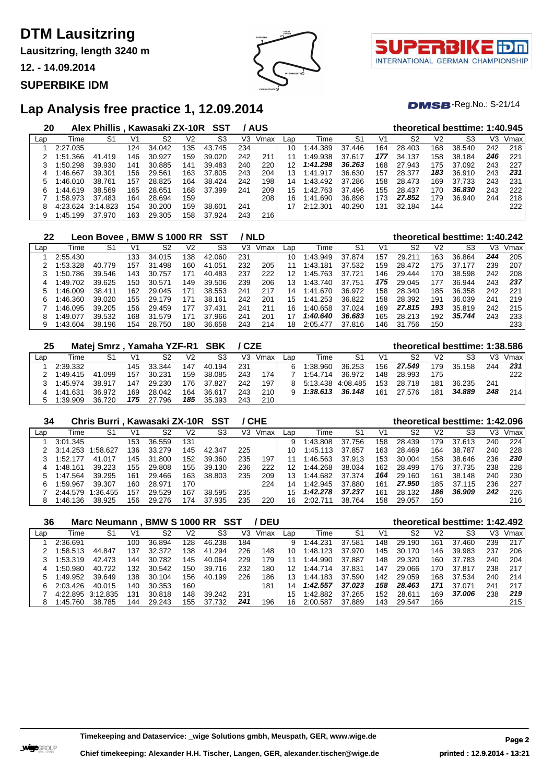**Lausitzring, length 3240 m**

**12. - 14.09.2014**

### **SUPERBIKE IDM**



 $DMSB$ -Reg.No.: S-21/14

## **Lap Analysis free practice 1, 12.09.2014**

| 20  |          | Alex Phillis, Kawasaki ZX-10R SST |     |        |     |            |     | / AUS |     |              |        |     |        |                | theoretical besttime: 1:40.945 |     |      |
|-----|----------|-----------------------------------|-----|--------|-----|------------|-----|-------|-----|--------------|--------|-----|--------|----------------|--------------------------------|-----|------|
| Lap | Time     | S1                                | V1  | S2     | V2  | S3         | V3  | Vmax  | Lap | Time         | S1     | V1  | S2     | V <sub>2</sub> | S3                             | VЗ  | Vmax |
|     | 2:27.035 |                                   | 124 | 34.042 | 135 | 43.745     | 234 |       | 10  | 1:44.389     | 37.446 | 164 | 28.403 | 168            | 38.540                         | 242 | 218  |
|     | 1:51.366 | 41.419                            | 146 | 30.927 | 159 | 39.020     | 242 | 211   | 11  | 1:49.938     | 37.617 | 177 | 34.137 | 158            | 38.184                         | 246 | 221  |
|     | 1:50.298 | 39.930                            | 141 | 30.885 | 141 | 39.483     | 240 | 220   | 12  | 1:41.298     | 36.263 | 168 | 27.943 | 175            | 37.092                         | 243 | 227  |
| 4   | 1:46.667 | 39.301                            | 156 | 29.561 | 163 | 37.805     | 243 | 204   | 13  | .917<br>1:41 | 36.630 | 157 | 28.377 | 183            | 36.910                         | 243 | 231  |
| 5   | 1:46.010 | 38.761                            | 157 | 28.825 | 164 | 38.424     | 242 | 198   | 14  | 1:43.492     | 37.286 | 158 | 28.473 | 169            | 37.733                         | 243 | 231  |
| 6   | 1:44.619 | 38.569                            | 165 | 28.651 | 168 | 37.399     | 241 | 209   | 15  | 1:42.763     | 37.496 | 155 | 28.437 | 170            | 36.830                         | 243 | 222  |
|     | 1:58.973 | 37.483                            | 164 | 28.694 | 159 |            |     | 208   | 16  | .690<br>1:41 | 36.898 | 173 | 27.852 | 179            | 36.940                         | 244 | 218  |
| 8   | 4:23.624 | 3:14.823                          | 154 | 30.200 | 159 | 38.601     | 241 |       |     | 2:12.301     | 40.290 | 131 | 32.184 | 144            |                                |     | 222  |
| 9   | 1:45.199 | 37.970                            | 163 | 29.305 | 158 | .924<br>37 | 243 | 216   |     |              |        |     |        |                |                                |     |      |

| 22  |          | <b>Leon Bovee</b> |     | <b>BMW S 1000 RR</b> |     | SST         |     | <b>NLD</b> |     |          |        |     |        |     | theoretical besttime: 1:40.242 |     |      |
|-----|----------|-------------------|-----|----------------------|-----|-------------|-----|------------|-----|----------|--------|-----|--------|-----|--------------------------------|-----|------|
| Lap | Time     | S1                | V1  | S2                   | V2  | S3          | V3  | Vmax       | Lap | Time     | S1     | V1  | S2     | V2  | S3                             | VЗ  | Vmax |
|     | 2:55.430 |                   | 133 | 34.015               | 138 | 42.060      | 231 |            | 10  | 1:43.949 | 37.874 | 157 | 29.211 | 163 | 36.864                         | 244 | 205  |
|     | 1:53.328 | 40.779            | 157 | 31.498               | 160 | .051<br>41  | 232 | 205        |     | 1:43.181 | 37.532 | 159 | 28.472 | 175 | 37.177                         | 239 | 207  |
|     | 1:50.786 | 39.546            | 143 | 30.757               | 171 | 40.483      | 237 | 222        | 12  | 1:45.763 | 37.721 | 146 | 29.444 | 170 | 38.598                         | 242 | 208  |
| 4   | 1:49.702 | 39.625            | 150 | 30.571               | 149 | 39.506      | 239 | 206        | 13  | 1:43.740 | 37.751 | 175 | 29.045 | 177 | 36.944                         | 243 | 237  |
|     | 1:46.009 | 38.411            | 162 | 29.045               | 171 | 38.553      | 241 | 217        | 14  | 1:41.670 | 36.972 | 158 | 28.340 | 185 | 36.358                         | 242 | 221  |
| 6.  | 1:46.360 | 39.020            | 155 | 29.179               | 171 | .161<br>38. | 242 | 201        | 15  | 1:41.253 | 36.822 | 158 | 28.392 | 191 | 36.039                         | 241 | 219  |
|     | 1:46.095 | 39.205            | 156 | 29.459               | 177 | 37.431      | 241 | 211        | 16  | 1:40.658 | 37.024 | 169 | 27,815 | 193 | 35.819                         | 242 | 215  |
| 8   | 1:49.077 | 39.532            | 168 | 31.579               | 171 | 37<br>.966  | 241 | 201        | 17  | 1:40.640 | 36.683 | 165 | 28.213 | 192 | 35.744                         | 243 | 233  |
|     | 1:43.604 | 38.196            | 154 | 28.750               | 180 | 36.658      | 243 | 214        | 18  | 2:05.477 | 37.816 | 146 | 31.756 | 150 |                                |     | 233  |

| 25  |          | Matej Smrz, Yamaha YZF-R1 SBK |     |        |                |        | / CZE |      |     |                   |        |     | theoretical besttime: 1:38.586 |     |        |     |      |
|-----|----------|-------------------------------|-----|--------|----------------|--------|-------|------|-----|-------------------|--------|-----|--------------------------------|-----|--------|-----|------|
| Lap | Time     | S1                            | V1  | S2     | V <sub>2</sub> | S3     | V3.   | Vmax | _an | Time              | S1     | V1  | S2                             | V2  | S3     | V3  | Vmax |
|     | 2:39.332 |                               | 145 | 33.344 | 147            | 40.194 | 231   |      | 6   | 1:38.960          | 36.253 | 156 | 27.549                         | 179 | 35.158 | 244 | 231  |
|     | 1:49.415 | 41.099                        | 157 | 30.231 | 159            | 38.085 | 243   | 174  |     | 1:54.714          | 36.972 | 148 | 28.993                         | 175 |        |     | 222  |
|     | 1:45.974 | 38.917                        | 147 | 29.230 | 176.           | 37.827 | 242   | 197  |     | 5:13.438 4:08.485 |        | 153 | 28 718                         | 181 | 36.235 | 241 |      |
|     | 1:41.631 | 36.972                        | 169 | 28.042 | 164            | 36.617 | 243   | 210  |     | 1:38.613          | 36.148 | 161 | 27.576                         | 181 | 34.889 | 248 | 214  |
| 5   | 1:39.909 | 36.720                        | 175 | 27.796 | 185            | 35.393 | 243   | 210  |     |                   |        |     |                                |     |        |     |      |

#### **Chris Burri , Kawasaki ZX-10R SST / CHE theoretical besttime: 1:42.096**

| Lap | Time       | S1       | V <sup>1</sup> | S2     | V2  | S3     | VЗ  | Vmax | Lap | Time     | S1     | V1  | S2     | V2  | S3     | V3. | Vmax |
|-----|------------|----------|----------------|--------|-----|--------|-----|------|-----|----------|--------|-----|--------|-----|--------|-----|------|
|     | 3:01.345   |          | 153            | 36.559 | 131 |        |     |      | 9   | 1:43.808 | 37.756 | 158 | 28.439 | 179 | 37.613 | 240 | 224  |
|     | 3:14.253   | 1:58.627 | 136            | 33.279 | 145 | 42.347 | 225 |      | 10. | 1:45.113 | 37.857 | 163 | 28.469 | 164 | 38.787 | 240 | 228  |
|     | 1:52.177   | 41.017   | 145            | 31.800 | 152 | 39.360 | 235 | 197  | 11  | 1:46.563 | 37.913 | 153 | 30.004 | 158 | 38.646 | 236 | 230  |
|     | 1:48.161   | 39.223   | 155            | 29.808 | 155 | 39.130 | 236 | 222  | 12  | 1:44.268 | 38.034 | 162 | 28.499 | 176 | 37.735 | 238 | 228  |
|     | 5 1:47.564 | 39.295   | 161            | 29.466 | 163 | 38.803 | 235 | 209  | 13  | 1:44.682 | 37.374 | 164 | 29.160 | 161 | 38.148 | 240 | 230  |
| հ․  | 1:59.967   | 39.307   | 160            | 28.971 | 170 |        |     | 224  | 14  | 1:42.945 | 37,880 | 161 | 27.950 | 185 | 37.115 | 236 | 227  |
|     | 2:44.579   | 1:36.455 | 157            | 29.529 | 167 | 38.595 | 235 |      | 15  | 1:42.278 | 37.237 | 161 | 28.132 | 186 | 36.909 | 242 | 226  |
|     | 1:46.136   | 38.925   | 156            | 29.276 | 174 | 37.935 | 235 | 220  | 16  | 2:02.711 | 38.764 | 158 | 29.057 | 150 |        |     | 216  |

| 36  |          | <b>Marc Neumann.</b> |     | BMW S 1000 RR SST |     |        |     | <b>DEU</b> |     |               |        |     |        |                | theoretical besttime: 1:42.492 |     |      |
|-----|----------|----------------------|-----|-------------------|-----|--------|-----|------------|-----|---------------|--------|-----|--------|----------------|--------------------------------|-----|------|
| Lap | Time     | S1                   | V1  | S2                | V2  | S3     | V3  | Vmax       | Lap | Time          | S٬     | V1  | S2     | V <sub>2</sub> | S3                             | V3  | Vmax |
|     | 2:36.691 |                      | 100 | 36.894            | 128 | 46.238 | 184 |            | 9   | 1:44.231      | 37.581 | 148 | 29.190 | 161            | 37.460                         | 239 | 217  |
|     | 1:58.513 | 44.847               | 137 | 32.372            | 138 | 41.294 | 226 | 148        | 10  | 1:48.123      | 37.970 | 145 | 30.170 | 146            | 39.983                         | 237 | 206  |
|     | 1:53.319 | 42.473               | 44  | 30.782            | 145 | 40.064 | 229 | 179        |     | 1:44.990      | 37.887 | 148 | 29.320 | 160            | 37.783                         | 240 | 204  |
|     | 1:50.980 | 40.722               | 132 | 30.542            | 150 | 39.716 | 232 | 180        | 12  | .714<br>1:44. | 37.831 | 147 | 29.066 | 170            | 37.817                         | 238 | 217  |
| 'n. | 1:49.952 | 39.649               | 138 | 30.104            | 156 | 40.199 | 226 | 186        | 13  | 1:44.183      | 37.590 | 142 | 29.059 | 168            | 37.534                         | 240 | 214  |
| h.  | 2:03.426 | 40.015               | 140 | 30.353            | 160 |        |     | 181        | 14  | 1:42.557      | 37.023 | 158 | 28.463 | 171            | 37.071                         | 241 | 217  |
|     | 4:22.895 | 3:12.835             | 131 | 30.818            | 148 | 39.242 | 231 |            | 15  | 1:42.882      | 37.265 | 152 | 28.611 | 169            | 37.006                         | 238 | 219  |
|     | 1:45.760 | 38.785               | 144 | 29.243            | 155 | 37.732 | 241 | 196        | 16  | 2:00.587      | 37.889 | 143 | 29.547 | 166            |                                |     | 215  |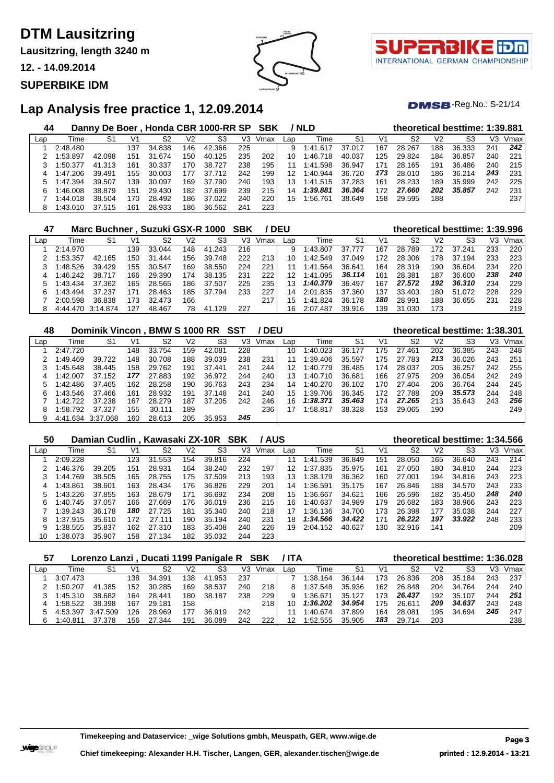**Lausitzring, length 3240 m**

**12. - 14.09.2014**

## **SUPERBIKE IDM**





 $DMSB$ -Reg.No.: S-21/14

## **Lap Analysis free practice 1, 12.09.2014**

| 44  |          |        |                 |        |     | Danny De Boer, Honda CBR 1000-RR SP SBK |     |      |     | / NLD    |        |     |        |                | theoretical besttime: 1:39.881 |     |      |
|-----|----------|--------|-----------------|--------|-----|-----------------------------------------|-----|------|-----|----------|--------|-----|--------|----------------|--------------------------------|-----|------|
| Lap | Time     | S1     | V1              | S2     | V2  | S3                                      | V3. | Vmax | Lap | Time     | -S1    | V1  | S2     | V <sub>2</sub> | S3                             | VЗ  | Vmax |
|     | 2:48.480 |        | 137             | 34.838 | 146 | 42.366                                  | 225 |      | 9   | 1:41.617 | 37.017 | 167 | 28.267 | 188            | 36.333                         | 241 | 242  |
|     | 1:53.897 | 42.098 | 151             | 31.674 | 150 | 40.125                                  | 235 | 202  | 10  | 1:46.718 | 40.037 | 25  | 29.824 | 184            | 36.857                         | 240 | 221  |
|     | 1:50.377 | 41.313 | 161             | 30.337 | 170 | 38.727                                  | 238 | 195  |     | 1:41.598 | 36.947 | 171 | 28.165 | 191            | 36.486                         | 240 | 215  |
|     | 1:47.206 | 39.491 | 155             | 30.003 | 177 | 37.712                                  | 242 | 199  | 12  | 1:40.944 | 36.720 | 173 | 28.010 | 186            | 36.214                         | 243 | 231  |
| 5   | 1:47.394 | 39.507 | 139             | 30.097 | 169 | 37.790                                  | 240 | 193  | 13  | 1:41.515 | 37.283 | 161 | 28.233 | 189            | 35.999                         | 242 | 225  |
| 6   | 1:46.008 | 38.879 | 151             | 29.430 | 182 | 37.699                                  | 239 | 215  | 14  | 1:39.881 | 36.364 | 172 | 27.660 | 202            | 35,857                         | 242 | 231  |
|     | 1:44.018 | 38.504 | 170             | 28.492 | 186 | 37.022                                  | 240 | 220  | 15  | 1:56.761 | 38.649 | 158 | 29.595 | 188            |                                |     | 237  |
| 8   | 1:43.010 | 37.515 | 16 <sup>4</sup> | 28.933 | 186 | 36.562                                  | 241 | 223  |     |          |        |     |        |                |                                |     |      |

| 47  |           | Marc Buchner, Suzuki GSX-R 1000 |     |        |     |            | SBK |      | <b>DEU</b> |          |        |     | theoretical besttime: 1:39.996 |     |        |     |      |
|-----|-----------|---------------------------------|-----|--------|-----|------------|-----|------|------------|----------|--------|-----|--------------------------------|-----|--------|-----|------|
| Lap | Time      | S1                              | V1  | S2     | V2  | S3         | V3  | Vmax | Lap        | Time     | S1     | V1  | S2                             | V2  | S3     | V3  | Vmax |
|     | 2:14.970  |                                 | 139 | 33.044 | 148 | 41.243     | 216 |      | 9          | 1:43.807 | 37.777 | 167 | 28.789                         | 172 | 37.241 | 233 | 220  |
|     | :53.357   | 42.165                          | 150 | 31.444 | 156 | 748<br>39. | 222 | 213  | 10         | 1:42.549 | 37.049 | 172 | 28.306                         | 178 | 37.194 | 233 | 223  |
|     | :48.526   | 39.429                          | 155 | 30.547 | 169 | 38.550     | 224 | 221  |            | 1:41.564 | 36.641 | 164 | 28.319                         | 190 | 36.604 | 234 | 220  |
|     | $-46.242$ | 38.717                          | 166 | 29.390 | 174 | 38.135     | 231 | 222  | 12         | 1:41.095 | 36.114 | 161 | 28.381                         | 187 | 36.600 | 238 | 240  |
|     | $-43.434$ | 37.362                          | 165 | 28.565 | 186 | 37.507     | 225 | 235  | 13         | 1:40.379 | 36.497 | 167 | 27.572                         | 192 | 36.310 | 234 | 229  |
| 6   | 1.43.494  | 37.237                          | 171 | 28.463 | 185 | 37.794     | 233 | 227  | 14         | 2:01.835 | 37.360 | 137 | 33.403                         | 180 | 51.072 | 228 | 229  |
|     | 2:00.598  | 36.838                          | 173 | 32.473 | 166 |            |     | 217  | 15         | 1:41.824 | 36.178 | 180 | 28.991                         | 188 | 36.655 | 231 | 228  |
|     | 4:44.470  | 3:14.874                        | 127 | 48.467 | 78  | 129<br>41  | 227 |      | 16         | 2:07.487 | 39.916 | 139 | 31.030                         | 173 |        |     | 219  |

| 48  |          | Dominik Vincon. |     | <b>BMW S 1000 RR</b> |     |        | SST | <b>DEU</b> |     |              |        |     | theoretical besttime: 1:38.301 |     |        |     |      |
|-----|----------|-----------------|-----|----------------------|-----|--------|-----|------------|-----|--------------|--------|-----|--------------------------------|-----|--------|-----|------|
| Lap | Time     | S1              | V1  | S2                   | V2  | S3     | V3  | Vmax       | Lap | Time         | S1     | V1  | S <sub>2</sub>                 | V2  | S3     | V3  | Vmax |
|     | 2:47.720 |                 | 148 | 33.754               | 159 | 42.081 | 228 |            | 10  | 1:40.023     | 36.177 | 175 | 27.461                         | 202 | 36.385 | 243 | 248  |
|     | 1:49.469 | 39.722          | 148 | 30.708               | 188 | 39.039 | 238 | 231        |     | 1:39.406     | 35.597 | 175 | 27.783                         | 213 | 36.026 | 243 | 251  |
|     | 1:45.648 | 38.445          | 158 | 29.762               | 191 | 37.441 | 241 | 244        | 12  | 1:40.779     | 36.485 | 174 | 28.037                         | 205 | 36.257 | 242 | 255  |
| 4   | 1:42.007 | 37.152          | 177 | 27.883               | 192 | 36.972 | 244 | 240        | 13  | 1:40.<br>710 | 36.681 | 166 | 27.975                         | 209 | 36.054 | 242 | 249  |
|     | 1:42.486 | 37.465          | 162 | 28.258               | 190 | 36.763 | 243 | 234        | 14  | 1:40.270     | 36.102 | 170 | 27.404                         | 206 | 36.764 | 244 | 245  |
| 6   | 1:43.546 | 37.466          | 161 | 28.932               | 191 | 37.148 | 241 | 240        | 15  | 1:39.706     | 36.345 | 172 | 27.788                         | 209 | 35,573 | 244 | 248  |
|     | 1:42.722 | 37.238          | 167 | 28.279               | 187 | 37.205 | 242 | 246        | 16  | 1:38.371     | 35.463 | 174 | 27.265                         | 213 | 35.643 | 243 | 256  |
| 8   | 1:58.792 | 37.327          | 155 | 30.111               | 189 |        |     | 236        | 17  | 1:58.817     | 38.328 | 153 | 29.065                         | 190 |        |     | 249  |
| 9   | 4:41.634 | .068<br>3:37    | 160 | 28.613               | 205 | 35.953 | 245 |            |     |              |        |     |                                |     |        |     |      |

#### **Damian Cudlin , Kawasaki ZX-10R SBK / AUS theoretical besttime: 1:34.566**

| $\cdot$ |          |        |      |        |     |        |     | .    |                 |             |                |                |        |     |        |     |      |
|---------|----------|--------|------|--------|-----|--------|-----|------|-----------------|-------------|----------------|----------------|--------|-----|--------|-----|------|
| Lap     | Time     | S1     | V1   | S2     | V2  | S3     | V3  | Vmax | Lap             | Time        | S <sub>1</sub> | V <sub>1</sub> | S2     | V2  | S3     | VЗ  | Vmax |
|         | 2:09.228 |        | 123  | 31.553 | 154 | 39.816 | 224 |      | 11              | 1:41.539    | 36.849         | 151            | 28.050 | 165 | 36.640 | 243 | 214  |
|         | 1:46.376 | 39.205 | 151  | 28.931 | 164 | 38.240 | 232 | 197  | 12 <sup>1</sup> | 1:37.835    | 35.975         | 161            | 27.050 | 180 | 34.810 | 244 | 223  |
|         | 1:44.769 | 38.505 | 165  | 28.755 | 175 | 37.509 | 213 | 193  | 13              | 1:38.179    | 36.362         | 160            | 27.001 | 194 | 34.816 | 243 | 223  |
|         | 1:43.861 | 38.601 | 163  | 28.434 | 176 | 36.826 | 229 | 201  | 14              | 1:36.591    | 35.175         | 167            | 26.846 | 188 | 34.570 | 243 | 233  |
| 5       | 1:43.226 | 37.855 | 163  | 28.679 | 171 | 36.692 | 234 | 208  | 15              | 1:36.667    | 34.621         | 166            | 26.596 | 182 | 35.450 | 248 | 240  |
|         | 1:40.745 | 37.057 | 166  | 27.669 | 176 | 36.019 | 236 | 215  | 16              | 1:40.637    | 34.989         | 179            | 26.682 | 183 | 38.966 | 243 | 223  |
|         | 1:39.243 | 36.178 | 180  | 27.725 | 181 | 35.340 | 240 | 218  | 17              | 1:36.136    | 34.700         | 173            | 26.398 | 177 | 35.038 | 244 | 227  |
|         | 1:37.915 | 35.610 | 172. | 27.111 | 190 | 35.194 | 240 | 231  |                 |             |                | 171            | 26.222 | 197 | 33.922 | 248 | 233  |
|         | 1:38.555 | 35.837 | 162  | 27.310 | 183 | 35.408 | 240 | 226  |                 | 19 2:04.152 | 40.627         | 130            | 32.916 | 141 |        |     | 209  |
|         | 1:38.073 | 35.907 | 158  | 27.134 | 182 | 35.032 | 244 | 223  |                 |             |                |                |        |     |        |     |      |

| 57  |          | Lorenzo Lanzi, Ducati 1199 Panigale R SBK |     |        |     |        |     |      | / ITA |          |        |     | theoretical besttime: 1:36.028 |     |        |     |      |
|-----|----------|-------------------------------------------|-----|--------|-----|--------|-----|------|-------|----------|--------|-----|--------------------------------|-----|--------|-----|------|
| Lap | Time     | S1                                        | V1  | S2     | V2  | S3     | VЗ  | Vmax | Lap   | Time     | S1     | V1  | S2                             | V2  | S3     | VЗ  | Vmax |
|     | 3:07.473 |                                           | 138 | 34.391 | 138 | 41.953 | 237 |      |       | 1:38.164 | 36.144 | 173 | 26.836                         | 208 | 35.184 | 243 | 237  |
|     | 1:50.207 | 41.385                                    | 152 | 30.285 | 169 | 38.537 | 240 | 218  |       | 1:37.548 | 35.936 | 162 | 26.848                         | 204 | 34.764 | 244 | 240  |
|     | 1:45.310 | 38.682                                    | 164 | 28.441 | 180 | 38.187 | 238 | 229  |       | 1:36.671 | 35.127 | 173 | 26.437                         | 192 | 35.107 | 244 | 251  |
|     | 1:58.522 | 38.398                                    | 167 | 29.181 | 158 |        |     | 218  |       | 1:36.202 | 34.954 | 175 | 26.611                         | 209 | 34.637 | 243 | 248  |
|     | 4:53.397 | 3:47.509                                  | 126 | 28.969 | 177 | 36.919 | 242 |      |       | 1:40.674 | 37.899 | 164 | 28.081                         | 195 | 34.694 | 245 | 247  |
| 6   | 1:40.811 | 37.378                                    | 156 | .344   | 191 | 36.089 | 242 | 222  | 12    | 1:52.555 | 35.905 | 183 | 29.714                         | 203 |        |     | 238  |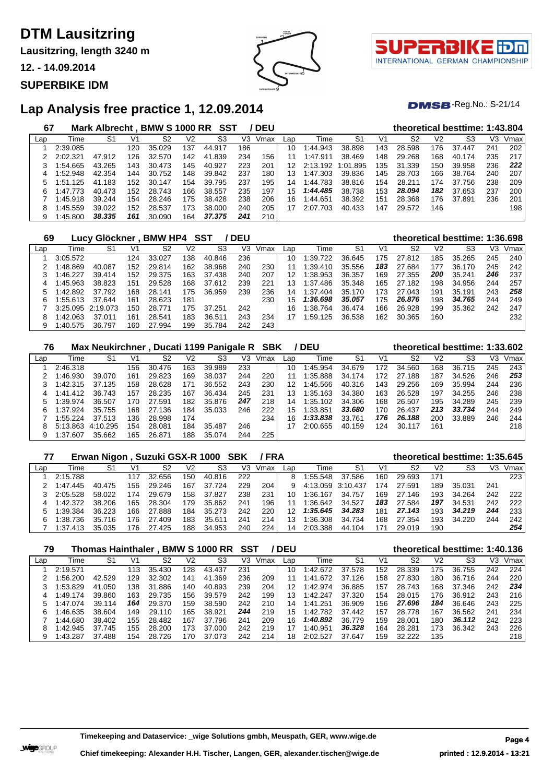**Lausitzring, length 3240 m**

**12. - 14.09.2014**

### **SUPERBIKE IDM**



 $DMSB$ -Reg.No.: S-21/14

# **Lap Analysis free practice 1, 12.09.2014**

| 67  |          | Mark Albrecht . BMW S 1000 RR |     |        |                | SST            |     | <b>DEU</b> |                 |               |          |     |        |     | theoretical besttime: 1:43.804 |     |      |
|-----|----------|-------------------------------|-----|--------|----------------|----------------|-----|------------|-----------------|---------------|----------|-----|--------|-----|--------------------------------|-----|------|
| Lap | Time     | S1                            | V1  | S2     | V <sub>2</sub> | S <sub>3</sub> | VЗ  | Vmax       | Lap             | Time          | S1       | V1  | S2     | V2  | S3                             | V3  | Vmax |
|     | 2:39.085 |                               | 120 | 35.029 | 137            | 44.917         | 186 |            | 10              | 1:44.943      | 38.898   | 143 | 28.598 | 176 | 37.447                         | 241 | 202  |
|     | 2:02.321 | 47.912                        | 126 | 32.570 | 142            | 41.839         | 234 | 156        | 11              | 1:47.911      | 38.469   | 148 | 29.268 | 168 | 40.174                         | 235 | 217  |
|     | :54.665  | 43.265                        | 143 | 30.473 | 145            | 40.927         | 223 | 201        | 12 <sub>1</sub> | 2:13.192      | 1:01.895 | 135 | 31.339 | 150 | 39.958                         | 236 | 222  |
| 4   | :52.948  | 42.354                        | 144 | 30.752 | 148            | 39.842         | 237 | 180        | 13              | 1:47.303      | 39.836   | 145 | 28.703 | 166 | 38.764                         | 240 | 207  |
| 5   | :51.125  | .183<br>41                    | 152 | 30.147 | 154            | 39.795         | 237 | 195        | 14              | 1:44.783      | 38.816   | 154 | 28.211 | 174 | 37.756                         | 238 | 209  |
| 6   | 1:47.773 | 40.473                        | 152 | 28.743 | 166            | 38.557         | 235 | 197        | 15 <sub>1</sub> | 1:44.485      | 38.738   | 153 | 28.094 | 182 | 37.653                         | 237 | 200  |
|     | 1:45.918 | 39.244                        | 154 | 28.246 | 175            | 38.428         | 238 | 206        | 16              | 1:44.651      | 38.392   | 151 | 28.368 | 176 | 37.891                         | 236 | 201  |
| 8   | :45.559  | 39.022                        | 152 | 28.537 | 173            | 38,000         | 240 | 205        |                 | 2:07.<br>.703 | 40.433   | 147 | 29.572 | 146 |                                |     | 198  |
| 9   | 1:45.800 | 38.335                        | 161 | 30.090 | 164            | 37,375         | 241 | 210        |                 |               |          |     |        |     |                                |     |      |

| 69  | Lucv              | <sup>,</sup> Glöckner |     | <b>BMW HP4</b> |     | SST    | <b>DEU</b> |      |     |          |        |     |        |     | theoretical besttime: 1:36.698 |     |      |
|-----|-------------------|-----------------------|-----|----------------|-----|--------|------------|------|-----|----------|--------|-----|--------|-----|--------------------------------|-----|------|
| Lap | Time              | S1                    | V1  | S2             | V2  | S3     | V3         | Vmax | Lap | Time     | -S1    | V1  | S2     | V2  | S3                             | VЗ  | Vmax |
|     | 3:05.572          |                       | 124 | 33.027         | 138 | 40.846 | 236        |      | 10  | 1:39.722 | 36.645 | 175 | 27.812 | 185 | 35.265                         | 245 | 240  |
|     | 1:48.869          | 40.087                | 152 | 29.814         | 162 | 38.968 | 240        | 230  |     | :39.410  | 35.556 | 183 | 27.684 | 177 | 36.170                         | 245 | 242  |
|     | 1:46.227          | 39.414                | 152 | 29.375         | 163 | 37.438 | 240        | 207  | 12  | 1:38.953 | 36.357 | 169 | 27.355 | 200 | 35.241                         | 246 | 237  |
| 4   | 1:45.963          | 38.823                | 151 | 29.528         | 168 | 37.612 | 239        | 221  | 13  | 1:37.486 | 35.348 | 165 | 27.182 | 198 | 34.956                         | 244 | 257  |
|     | 1:42.892          | 37.792                | 168 | 28.141         | 175 | 36.959 | 239        | 236  | 14  | 1:37.404 | 35.170 | 173 | 27.043 | 191 | 35.191                         | 243 | 258  |
| 6   | 1:55.613          | 37.644                | 161 | 28.623         | 181 |        |            | 230  | 15  | 1:36.698 | 35.057 | 175 | 26.876 | 198 | 34.765                         | 244 | 249  |
|     | 3:25.095 2:19.073 |                       | 150 | 28.771         | 175 | 37.251 | 242        |      | 16  | 1:38.764 | 36.474 | 166 | 26.928 | 199 | 35.362                         | 242 | 247  |
| 8   | 1:42.063          | 37.011                | 161 | 28.541         | 183 | 36.511 | 243        | 234  | 17  | 1:59.125 | 36.538 | 162 | 30.365 | 160 |                                |     | 232  |
| 9   | 1:40.575          | 36.797                | 160 | 27.994         | 199 | 35.784 | 242        | 243  |     |          |        |     |        |     |                                |     |      |

| 76  |          | <b>Max Neukirchner</b> |     |        |     | , Ducati 1199 Panigale R |     | SBK  |     | <b>DEU</b> |        |     |        |     | theoretical besttime: 1:33.602 |     |      |
|-----|----------|------------------------|-----|--------|-----|--------------------------|-----|------|-----|------------|--------|-----|--------|-----|--------------------------------|-----|------|
| Lap | Time     | S1                     | V1  | S2     | V2  | S3                       | V3  | Vmax | Lap | Time       | S1     | V1  | S2     | V2  | S3                             | VЗ  | Vmax |
|     | 2:46.318 |                        | 156 | 30.476 | 163 | 39.989                   | 233 |      | 10  | 1:45.954   | 34.679 | 172 | 34.560 | 168 | 36.715                         | 245 | 243  |
|     | 1:46.930 | 39.070                 | 161 | 29.823 | 169 | 38.037                   | 244 | 220  | 11  | 1:35.888   | 34.174 | 172 | 27.188 | 187 | 34.526                         | 246 | 253  |
|     | 1:42.315 | 37.135                 | 158 | 28.628 | 171 | 36.552                   | 243 | 230  | 12  | 1:45.566   | 40.316 | 143 | 29.256 | 169 | 35.994                         | 244 | 236  |
| 4   | 1:41.412 | 36.743                 | 157 | 28.235 | 167 | 36.434                   | 245 | 231  | 13  | 1:35.163   | 34.380 | 163 | 26.528 | 197 | 34.255                         | 246 | 238  |
|     | 1:39.974 | 36.507                 | 170 | 27.591 | 182 | 35.876                   | 247 | 218  | 14  | 1:35.102   | 34.306 | 168 | 26.507 | 195 | 34.289                         | 245 | 239  |
| 6   | 1:37.924 | 35.755                 | 168 | 27.136 | 184 | 35.033                   | 246 | 222  | 15  | 1:33.851   | 33.680 | 170 | 26.437 | 213 | 33.734                         | 244 | 249  |
|     | 1:55.224 | 37.513                 | 136 | 28.998 | 174 |                          |     | 234  | 16  | 1:33.838   | 33.761 | 176 | 26.188 | 200 | 33.889                         | 246 | 244  |
| 8   | 5:13.863 | 4:10.295               | 154 | 28.081 | 184 | 35.487                   | 246 |      |     | 2:00.655   | 40.159 | 124 | 30.117 | 161 |                                |     | 218  |
|     | 1:37.607 | 35.662                 | 165 | 26.871 | 188 | 35.074                   | 244 | 225  |     |            |        |     |        |     |                                |     |      |

| 77  |          | Erwan Nigon, Suzuki GSX-R 1000 SBK |      |             |     |        |     | /FRA |     |                   |        |     |        |                | theoretical besttime: 1:35.645 |     |      |
|-----|----------|------------------------------------|------|-------------|-----|--------|-----|------|-----|-------------------|--------|-----|--------|----------------|--------------------------------|-----|------|
| Lap | Time     | S1                                 | V1   | S2          | V2  | S3     | V3  | Vmax | Lap | Time              | S1     | V1  | S2     | V <sub>2</sub> | S3                             | VЗ  | Vmax |
|     | 2:15.788 |                                    |      | 32.656      | 150 | 40.816 | 222 |      | 8   | 1:55.548          | 37.586 | 160 | 29.693 | 171            |                                |     | 223  |
|     | 1.47.445 | 40.475                             | 156  | 29.246      | 167 | 37.724 | 229 | 204  | 9   | 4:13.059 3:10.437 |        | 174 | 27.591 | 189            | 35.031                         | 241 |      |
|     | 2:05.528 | 58.022                             | 174  | 29.679      | 158 | 37.827 | 238 | 231  |     | 1:36.167          | 34.757 | 169 | 27.146 | 193            | 34.264                         | 242 | 222  |
| 4   | 1:42.372 | 38.206                             | 165  | 28.304      | 179 | 35.862 | 241 | 196  |     | 1:36.642          | 34.527 | 183 | 27.584 | 197            | 34.531                         | 242 | 222  |
| 5   | 1:39.384 | 36.223                             | 166  | 27.888      | 184 | 35.273 | 242 | 220  | 12  | 1:35.645          | 34.283 | 181 | 27.143 | 193            | 34.219                         | 244 | 233  |
| 6   | 1:38.736 | 35.716                             | 176. | .409<br>27. | 183 | 35.611 | 241 | 214  | 13  | 1:36.308          | 34.734 | 168 | 27.354 | 193            | 34.220                         | 244 | 242  |
|     | 1:37.413 | 35.035                             | 176  | 27.425      | 188 | 34.953 | 240 | 224  | 14  | 2:03.388          | 44.104 | 171 | 29.019 | 190            |                                |     | 254  |

| 79  |          | <b>Thomas Hainthaler</b> |     |             |     | <b>BMW S 1000 RR</b> | SST |      | <b>DEU</b> |              |        |     |        |                | theoretical besttime: 1:40.136 |     |      |
|-----|----------|--------------------------|-----|-------------|-----|----------------------|-----|------|------------|--------------|--------|-----|--------|----------------|--------------------------------|-----|------|
| Lap | Time     | S1                       | V1  | S2          | V2  | S3                   | V3  | Vmax | Lap        | Time         | S1     | V1  | S2     | V <sub>2</sub> | S3                             | V3  | Vmax |
|     | 2:19.571 |                          | 113 | 35.430      | 128 | 43.437               | 231 |      | 10         | 1:42.672     | 37.578 | 152 | 28.339 | 175            | 36.755                         | 242 | 224  |
|     | :56.200  | 42.529                   | 129 | .302<br>32. | 141 | .369<br>41           | 236 | 209  |            | .672<br>1:41 | 37.126 | 158 | 27.830 | 180            | 36.716                         | 244 | 220  |
|     | 1:53.829 | 41.050                   | 138 | 31.886      | 140 | 40.893               | 239 | 204  | 12         | 1:42.974     | 36.885 | 157 | 28.743 | 168            | 37.346                         | 242 | 234  |
| 4   | 1:49.174 | 39.860                   | 163 | 29.735      | 156 | 39.579               | 242 | 199  | 13         | 1:42.247     | 37.320 | 154 | 28.015 | 176            | 36.912                         | 243 | 216  |
|     | 1:47.074 | 39.114                   | 164 | 29.370      | 159 | 38.590               | 242 | 210  | 14         | .251<br>1:41 | 36.909 | 156 | 27.696 | 184            | 36.646                         | 243 | 225  |
| 6   | :46.635  | 38.604                   | 149 | 29.110      | 165 | 38.921               | 244 | 219  | 15         | 1:42.782     | 37.442 | 157 | 28.778 | 167            | 36.562                         | 241 | 234  |
|     | 1:44.680 | 38.402                   | 155 | 28.482      | 167 | 37.796               | 241 | 209  | 16         | 1:40.892     | 36.779 | 159 | 28.001 | 180            | 36.112                         | 242 | 223  |
| 8   | :42.945  | 37.745                   | 155 | 28.200      | 173 | 37.000               | 242 | 219  |            | 1:40.951     | 36.328 | 164 | 28.281 | 173            | 36.342                         | 243 | 226  |
| 9   | 1:43.287 | 37.488                   | 154 | 28.726      | 170 | 37.073               | 242 | 214  | 18         | 2:02.527     | 37.647 | 159 | 32.222 | 135            |                                |     | 218  |